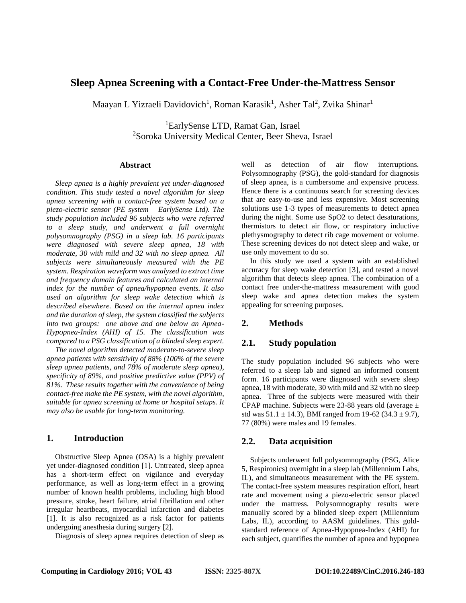# **Sleep Apnea Screening with a Contact-Free Under-the-Mattress Sensor**

Maayan L Yizraeli Davidovich<sup>1</sup>, Roman Karasik<sup>1</sup>, Asher Tal<sup>2</sup>, Zvika Shinar<sup>1</sup>

<sup>1</sup>EarlySense LTD, Ramat Gan, Israel <sup>2</sup>Soroka University Medical Center, Beer Sheva, Israel

#### **Abstract**

*Sleep apnea is a highly prevalent yet under-diagnosed condition. This study tested a novel algorithm for sleep apnea screening with a contact-free system based on a piezo-electric sensor (PE system – EarlySense Ltd). The study population included 96 subjects who were referred to a sleep study, and underwent a full overnight polysomnography (PSG) in a sleep lab. 16 participants were diagnosed with severe sleep apnea, 18 with moderate, 30 with mild and 32 with no sleep apnea. All subjects were simultaneously measured with the PE system. Respiration waveform was analyzed to extract time and frequency domain features and calculated an internal index for the number of apnea/hypopnea events. It also used an algorithm for sleep wake detection which is described elsewhere. Based on the internal apnea index and the duration of sleep, the system classified the subjects into two groups: one above and one below an Apnea-Hypopnea-Index (AHI) of 15. The classification was compared to a PSG classification of a blinded sleep expert.* 

*The novel algorithm detected moderate-to-severe sleep apnea patients with sensitivity of 88% (100% of the severe sleep apnea patients, and 78% of moderate sleep apnea), specificity of 89%, and positive predictive value (PPV) of 81%. These results together with the convenience of being contact-free make the PE system, with the novel algorithm, suitable for apnea screening at home or hospital setups. It may also be usable for long-term monitoring.*

#### **1. Introduction**

Obstructive Sleep Apnea (OSA) is a highly prevalent yet under-diagnosed condition [1]. Untreated, sleep apnea has a short-term effect on vigilance and everyday performance, as well as long-term effect in a growing number of known health problems, including high blood pressure, stroke, heart failure, atrial fibrillation and other irregular heartbeats, myocardial infarction and diabetes [1]. It is also recognized as a risk factor for patients undergoing anesthesia during surgery [2].

Diagnosis of sleep apnea requires detection of sleep as

well as detection of air flow interruptions. Polysomnography (PSG), the gold-standard for diagnosis of sleep apnea, is a cumbersome and expensive process. Hence there is a continuous search for screening devices that are easy-to-use and less expensive. Most screening solutions use 1-3 types of measurements to detect apnea during the night. Some use SpO2 to detect desaturations, thermistors to detect air flow, or respiratory inductive plethysmography to detect rib cage movement or volume. These screening devices do not detect sleep and wake, or use only movement to do so.

In this study we used a system with an established accuracy for sleep wake detection [3], and tested a novel algorithm that detects sleep apnea. The combination of a contact free under-the-mattress measurement with good sleep wake and apnea detection makes the system appealing for screening purposes.

## **2. Methods**

## **2.1. Study population**

The study population included 96 subjects who were referred to a sleep lab and signed an informed consent form. 16 participants were diagnosed with severe sleep apnea, 18 with moderate, 30 with mild and 32 with no sleep apnea. Three of the subjects were measured with their CPAP machine. Subjects were 23-88 years old (average ± std was  $51.1 \pm 14.3$ ), BMI ranged from 19-62 (34.3  $\pm$  9.7), 77 (80%) were males and 19 females.

## **2.2. Data acquisition**

Subjects underwent full polysomnography (PSG, Alice 5, Respironics) overnight in a sleep lab (Millennium Labs, IL), and simultaneous measurement with the PE system. The contact-free system measures respiration effort, heart rate and movement using a piezo-electric sensor placed under the mattress. Polysomnography results were manually scored by a blinded sleep expert (Millennium Labs, IL), according to AASM guidelines. This goldstandard reference of Apnea-Hypopnea-Index (AHI) for each subject, quantifies the number of apnea and hypopnea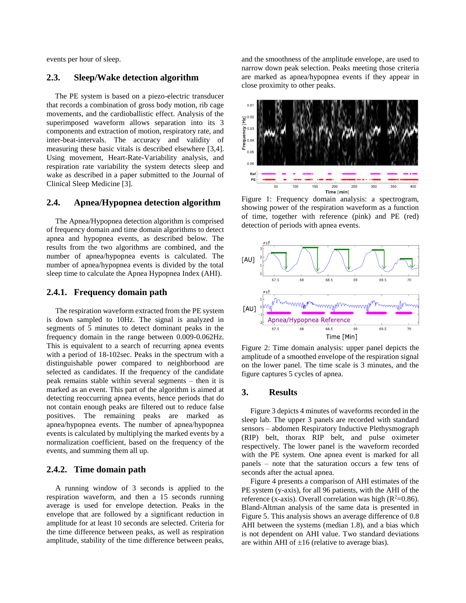events per hour of sleep.

## **2.3. Sleep/Wake detection algorithm**

The PE system is based on a piezo-electric transducer that records a combination of gross body motion, rib cage movements, and the cardioballistic effect. Analysis of the superimposed waveform allows separation into its 3 components and extraction of motion, respiratory rate, and inter-beat-intervals. The accuracy and validity of measuring these basic vitals is described elsewhere [3,4]. Using movement, Heart-Rate-Variability analysis, and respiration rate variability the system detects sleep and wake as described in a paper submitted to the Journal of Clinical Sleep Medicine [3].

#### **2.4. Apnea/Hypopnea detection algorithm**

The Apnea/Hypopnea detection algorithm is comprised of frequency domain and time domain algorithms to detect apnea and hypopnea events, as described below. The results from the two algorithms are combined, and the number of apnea/hypopnea events is calculated. The number of apnea/hypopnea events is divided by the total sleep time to calculate the Apnea Hypopnea Index (AHI).

## **2.4.1. Frequency domain path**

The respiration waveform extracted from the PE system is down sampled to 10Hz. The signal is analyzed in segments of 5 minutes to detect dominant peaks in the frequency domain in the range between 0.009-0.062Hz. This is equivalent to a search of recurring apnea events with a period of 18-102sec. Peaks in the spectrum with a distinguishable power compared to neighborhood are selected as candidates. If the frequency of the candidate peak remains stable within several segments – then it is marked as an event. This part of the algorithm is aimed at detecting reoccurring apnea events, hence periods that do not contain enough peaks are filtered out to reduce false positives. The remaining peaks are marked as apnea/hypopnea events. The number of apnea/hypopnea events is calculated by multiplying the marked events by a normalization coefficient, based on the frequency of the events, and summing them all up.

## **2.4.2. Time domain path**

A running window of 3 seconds is applied to the respiration waveform, and then a 15 seconds running average is used for envelope detection. Peaks in the envelope that are followed by a significant reduction in amplitude for at least 10 seconds are selected. Criteria for the time difference between peaks, as well as respiration amplitude, stability of the time difference between peaks,

and the smoothness of the amplitude envelope, are used to narrow down peak selection. Peaks meeting those criteria are marked as apnea/hypopnea events if they appear in close proximity to other peaks.



Figure 1: Frequency domain analysis: a spectrogram, showing power of the respiration waveform as a function of time, together with reference (pink) and PE (red) detection of periods with apnea events.



Figure 2: Time domain analysis: upper panel depicts the amplitude of a smoothed envelope of the respiration signal on the lower panel. The time scale is 3 minutes, and the figure captures 5 cycles of apnea.

#### **3. Results**

Figure 3 depicts 4 minutes of waveforms recorded in the sleep lab. The upper 3 panels are recorded with standard sensors – abdomen Respiratory Inductive Plethysmograph (RIP) belt, thorax RIP belt, and pulse oximeter respectively. The lower panel is the waveform recorded with the PE system. One apnea event is marked for all panels – note that the saturation occurs a few tens of seconds after the actual apnea.

Figure 4 presents a comparison of AHI estimates of the PE system (y-axis), for all 96 patients, with the AHI of the reference (x-axis). Overall correlation was high ( $R^2$ =0.86). Bland-Altman analysis of the same data is presented in Figure 5. This analysis shows an average difference of 0.8 AHI between the systems (median 1.8), and a bias which is not dependent on AHI value. Two standard deviations are within AHI of  $\pm 16$  (relative to average bias).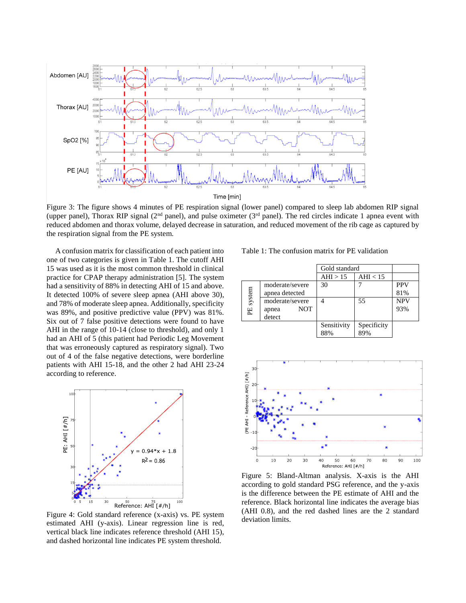

Figure 3: The figure shows 4 minutes of PE respiration signal (lower panel) compared to sleep lab abdomen RIP signal (upper panel), Thorax RIP signal ( $2<sup>nd</sup>$  panel), and pulse oximeter ( $3<sup>rd</sup>$  panel). The red circles indicate 1 apnea event with reduced abdomen and thorax volume, delayed decrease in saturation, and reduced movement of the rib cage as captured by the respiration signal from the PE system.

A confusion matrix for classification of each patient into one of two categories is given in Table 1. The cutoff AHI 15 was used as it is the most common threshold in clinical practice for CPAP therapy administration [5]. The system had a sensitivity of 88% in detecting AHI of 15 and above. It detected 100% of severe sleep apnea (AHI above 30), and 78% of moderate sleep apnea. Additionally, specificity was 89%, and positive predictive value (PPV) was 81%. Six out of 7 false positive detections were found to have AHI in the range of 10-14 (close to threshold), and only 1 had an AHI of 5 (this patient had Periodic Leg Movement that was erroneously captured as respiratory signal). Two out of 4 of the false negative detections, were borderline patients with AHI 15-18, and the other 2 had AHI 23-24 according to reference.



Figure 4: Gold standard reference (x-axis) vs. PE system estimated AHI (y-axis). Linear regression line is red, vertical black line indicates reference threshold (AHI 15), and dashed horizontal line indicates PE system threshold.

Table 1: The confusion matrix for PE validation

|           |                                                  | Gold standard      |                    |                   |
|-----------|--------------------------------------------------|--------------------|--------------------|-------------------|
|           |                                                  | AHI > 15           | AHI $< 15$         |                   |
| PE system | moderate/severe<br>apnea detected                | 30                 |                    | <b>PPV</b><br>81% |
|           | moderate/severe<br><b>NOT</b><br>apnea<br>detect |                    | 55                 | <b>NPV</b><br>93% |
|           |                                                  | Sensitivity<br>88% | Specificity<br>89% |                   |



Figure 5: Bland-Altman analysis. X-axis is the AHI according to gold standard PSG reference, and the y-axis is the difference between the PE estimate of AHI and the reference. Black horizontal line indicates the average bias (AHI 0.8), and the red dashed lines are the 2 standard deviation limits.